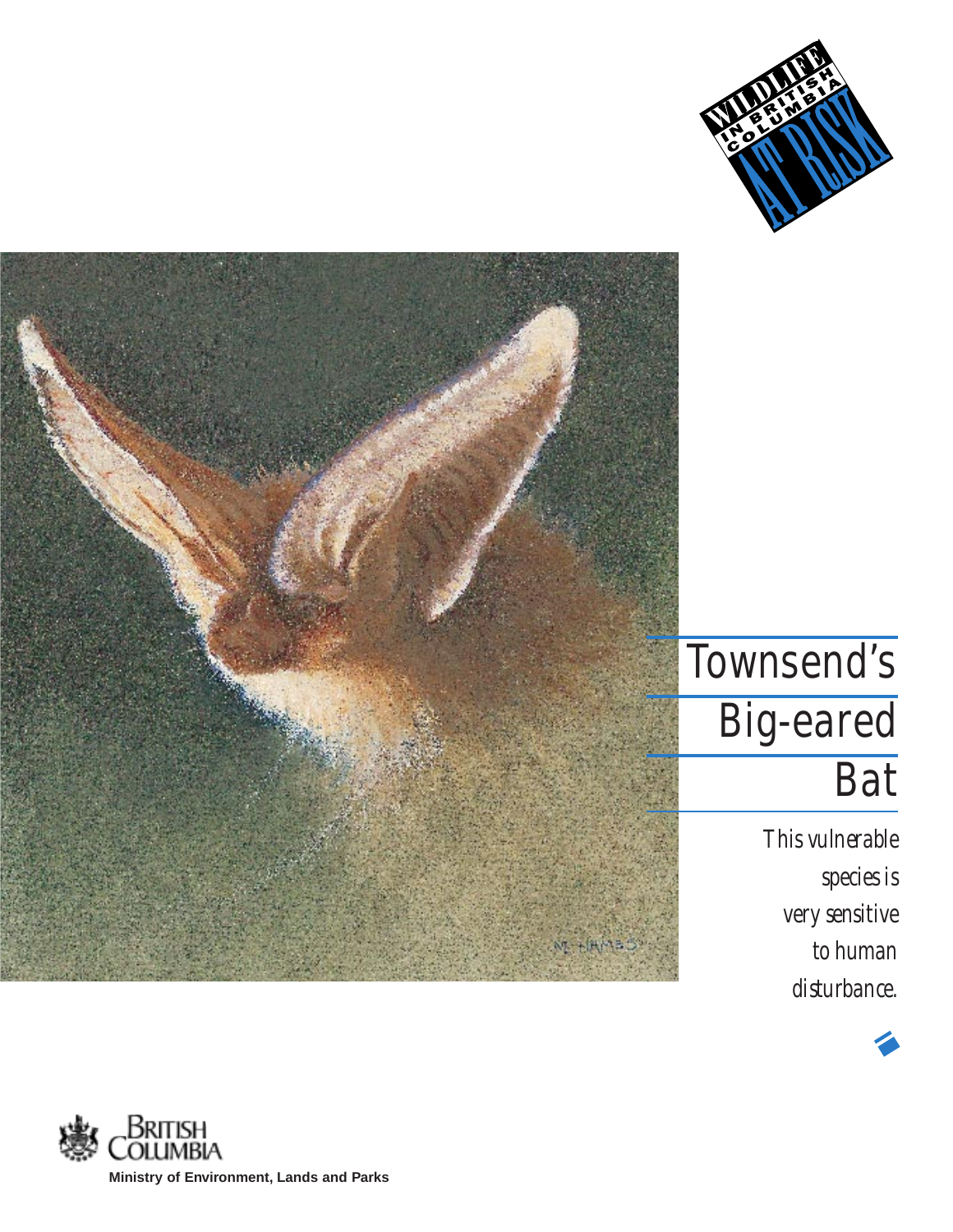



# Townsend's Big-eared **Bat**

*This vulnerable species is very sensitive to human disturbance.*



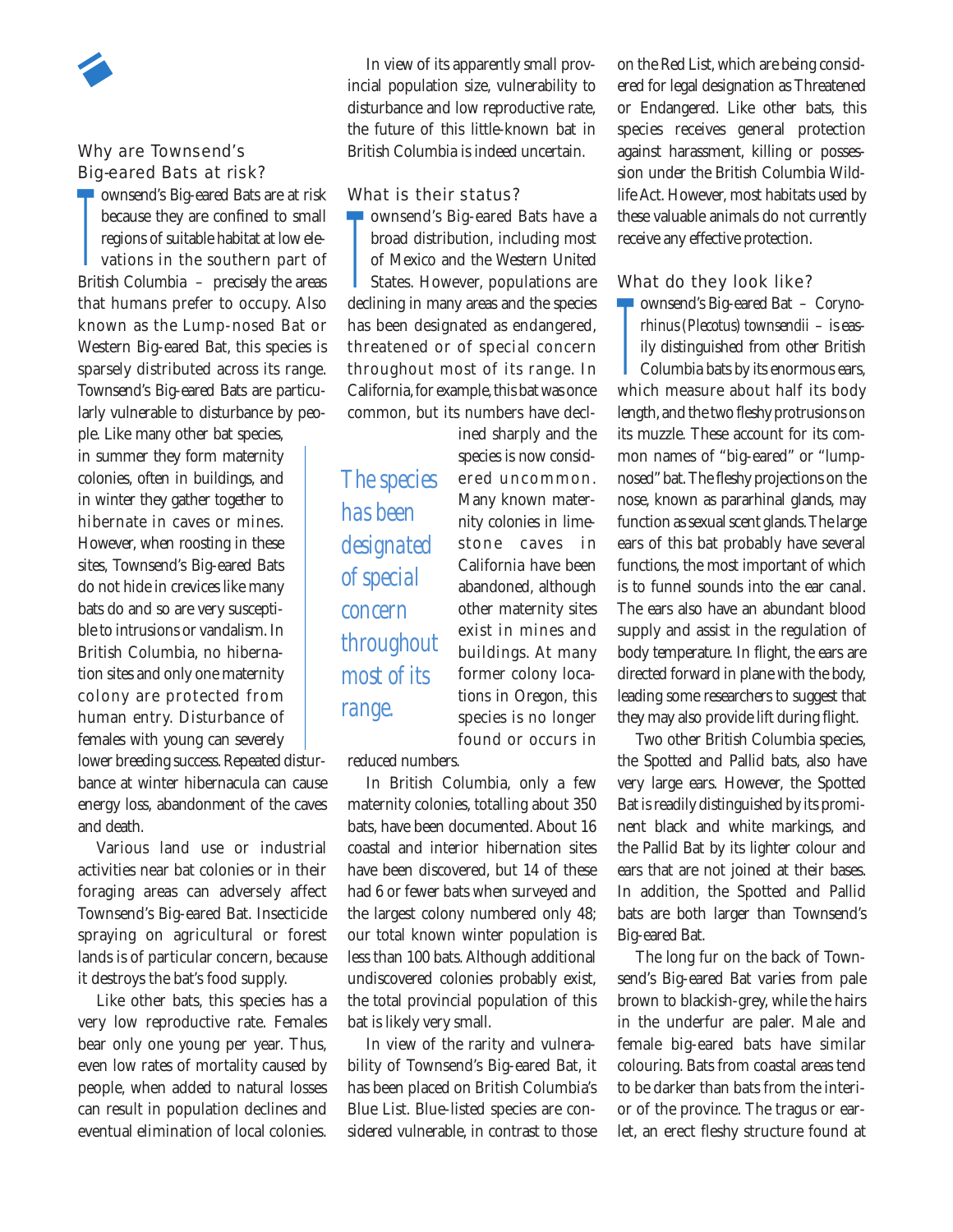## Why are Townsend's Big-eared Bats at risk?

The Castle Control of the Castle Castle Castle<br>Because they are confined to small<br>regions of suitable habitat at low ele-<br>vations in the southern part of because they are confined to small regions of suitable habitat at low elevations in the southern part of British Columbia – precisely the areas that humans prefer to occupy. Also known as the Lump-nosed Bat or Western Big-eared Bat, this species is sparsely distributed across its range. Townsend's Big-eared Bats are particularly vulnerable to disturbance by peo-

ple. Like many other bat species, in summer they form maternity colonies, often in buildings, and in winter they gather together to hibernate in caves or mines. However, when roosting in these sites, Townsend's Big-eared Bats do not hide in crevices like many bats do and so are very susceptible to intrusions or vandalism. In British Columbia, no hibernation sites and only one maternity colony are protected from human entry. Disturbance of females with young can severely

lower breeding success. Repeated disturbance at winter hibernacula can cause energy loss, abandonment of the caves and death.

Various land use or industrial activities near bat colonies or in their foraging areas can adversely affect Townsend's Big-eared Bat. Insecticide spraying on agricultural or forest lands is of particular concern, because it destroys the bat's food supply.

Like other bats, this species has a very low reproductive rate. Females bear only one young per year. Thus, even low rates of mortality caused by people, when added to natural losses can result in population declines and eventual elimination of local colonies.

In view of its apparently small provincial population size, vulnerability to disturbance and low reproductive rate, the future of this little-known bat in British Columbia is indeed uncertain.

#### What is their status?

The Castle Court of States.<br>
The Mexico and the Western United<br>
States. However, populations are<br>
declining in monu anset and the mosics ownsend's Big-eared Bats have a broad distribution, including most of Mexico and the Western United declining in many areas and the species has been designated as endangered, threatened or of special concern throughout most of its range. In California, for example, this bat was once common, but its numbers have decl-

> ined sharply and the species is now considered uncommon. Many known maternity colonies in limestone caves in California have been abandoned, although other maternity sites exist in mines and buildings. At many former colony locations in Oregon, this species is no longer found or occurs in

*The species has been designated of special concern throughout most of its range.*

reduced numbers.

In British Columbia, only a few maternity colonies, totalling about 350 bats, have been documented. About 16 coastal and interior hibernation sites have been discovered, but 14 of these had 6 or fewer bats when surveyed and the largest colony numbered only 48; our total known winter population is less than 100 bats. Although additional undiscovered colonies probably exist, the total provincial population of this bat is likely very small.

In view of the rarity and vulnerability of Townsend's Big-eared Bat, it has been placed on British Columbia's Blue List. Blue-listed species are considered vulnerable, in contrast to those

on the Red List, which are being considered for legal designation as Threatened or Endangered. Like other bats, this species receives general protection against harassment, killing or possession under the British Columbia Wildlife Act. However, most habitats used by these valuable animals do not currently receive any effective protection.

## What do they look like?

There are they reck like.<br>
Thinus (Plecotus) townsendii – is eas-<br>
ily distinguished from other British<br>
Columbia bats by its enormous ears,<br>
which measure about helf its hody ownsend's Big-eared Bat – *Corynorhinus (Plecotus) townsendii* – is easily distinguished from other British which measure about half its body length, and the two fleshy protrusions on its muzzle. These account for its common names of "big-eared" or "lumpnosed"bat. The fleshy projections on the nose, known as pararhinal glands, may function as sexual scent glands. The large ears of this bat probably have several functions, the most important of which is to funnel sounds into the ear canal. The ears also have an abundant blood supply and assist in the regulation of body temperature. In flight, the ears are directed forward in plane with the body, leading some researchers to suggest that they may also provide lift during flight.

Two other British Columbia species, the Spotted and Pallid bats, also have very large ears. However, the Spotted Bat is readily distinguished by its prominent black and white markings, and the Pallid Bat by its lighter colour and ears that are not joined at their bases. In addition, the Spotted and Pallid bats are both larger than Townsend's Big-eared Bat.

The long fur on the back of Townsend's Big-eared Bat varies from pale brown to blackish-grey, while the hairs in the underfur are paler. Male and female big-eared bats have similar colouring. Bats from coastal areas tend to be darker than bats from the interior of the province. The tragus or earlet, an erect fleshy structure found at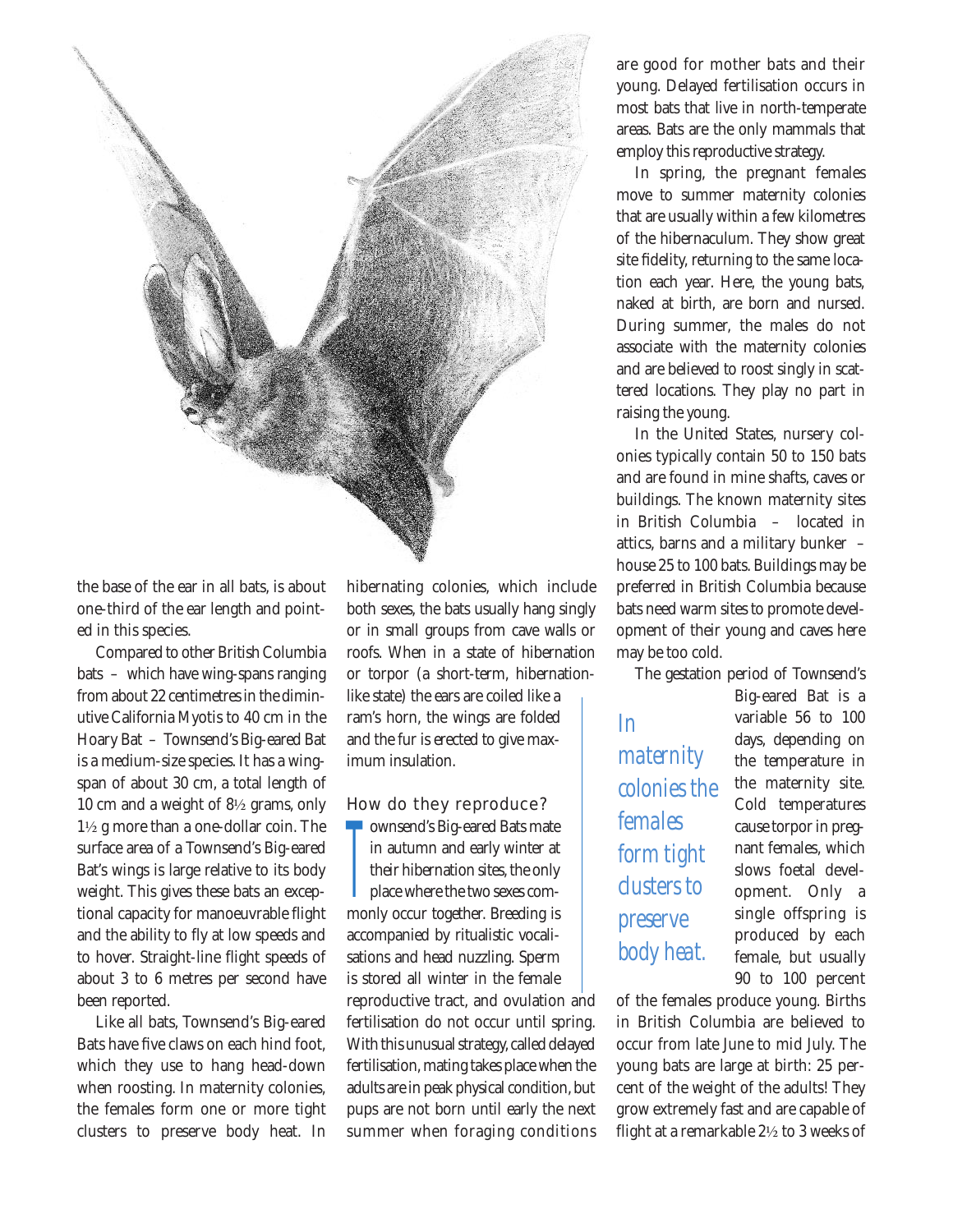

the base of the ear in all bats, is about one-third of the ear length and pointed in this species.

Compared to other British Columbia bats – which have wing-spans ranging from about 22 centimetres in the diminutive California Myotis to 40 cm in the Hoary Bat – Townsend's Big-eared Bat is a medium-size species. It has a wingspan of about 30 cm, a total length of 10 cm and a weight of 8½ grams, only 1½ g more than a one-dollar coin. The surface area of a Townsend's Big-eared Bat's wings is large relative to its body weight. This gives these bats an exceptional capacity for manoeuvrable flight and the ability to fly at low speeds and to hover. Straight-line flight speeds of about 3 to 6 metres per second have been reported.

Like all bats, Townsend's Big-eared Bats have five claws on each hind foot, which they use to hang head-down when roosting. In maternity colonies, the females form one or more tight clusters to preserve body heat. In hibernating colonies, which include both sexes, the bats usually hang singly or in small groups from cave walls or roofs. When in a state of hibernation or torpor (a short-term, hibernationlike state) the ears are coiled like a ram's horn, the wings are folded and the fur is erected to give maximum insulation.

#### How do they reproduce?

T ownsend's Big-eared Bats mate in autumn and early winter at their hibernation sites, the only **place** where the two sexes commonly occur together. Breeding is accompanied by ritualistic vocalisations and head nuzzling. Sperm is stored all winter in the female

reproductive tract, and ovulation and fertilisation do not occur until spring. With this unusual strategy, called delayed fertilisation, mating takes place when the adults are in peak physical condition, but pups are not born until early the next summer when foraging conditions are good for mother bats and their young. Delayed fertilisation occurs in most bats that live in north-temperate areas. Bats are the only mammals that employ this reproductive strategy.

In spring, the pregnant females move to summer maternity colonies that are usually within a few kilometres of the hibernaculum. They show great site fidelity, returning to the same location each year. Here, the young bats, naked at birth, are born and nursed. During summer, the males do not associate with the maternity colonies and are believed to roost singly in scattered locations. They play no part in raising the young.

In the United States, nursery colonies typically contain 50 to 150 bats and are found in mine shafts, caves or buildings. The known maternity sites in British Columbia – located in attics, barns and a military bunker – house 25 to 100 bats. Buildings may be preferred in British Columbia because bats need warm sites to promote development of their young and caves here may be too cold.

The gestation period of Townsend's

*In maternity colonies the females form tight clusters to preserve body heat.*

Big-eared Bat is a variable 56 to 100 days, depending on the temperature in the maternity site. Cold temperatures cause torpor in pregnant females, which slows foetal development. Only a single offspring is produced by each female, but usually 90 to 100 percent

of the females produce young. Births in British Columbia are believed to occur from late June to mid July. The young bats are large at birth: 25 percent of the weight of the adults! They grow extremely fast and are capable of flight at a remarkable 2½ to 3 weeks of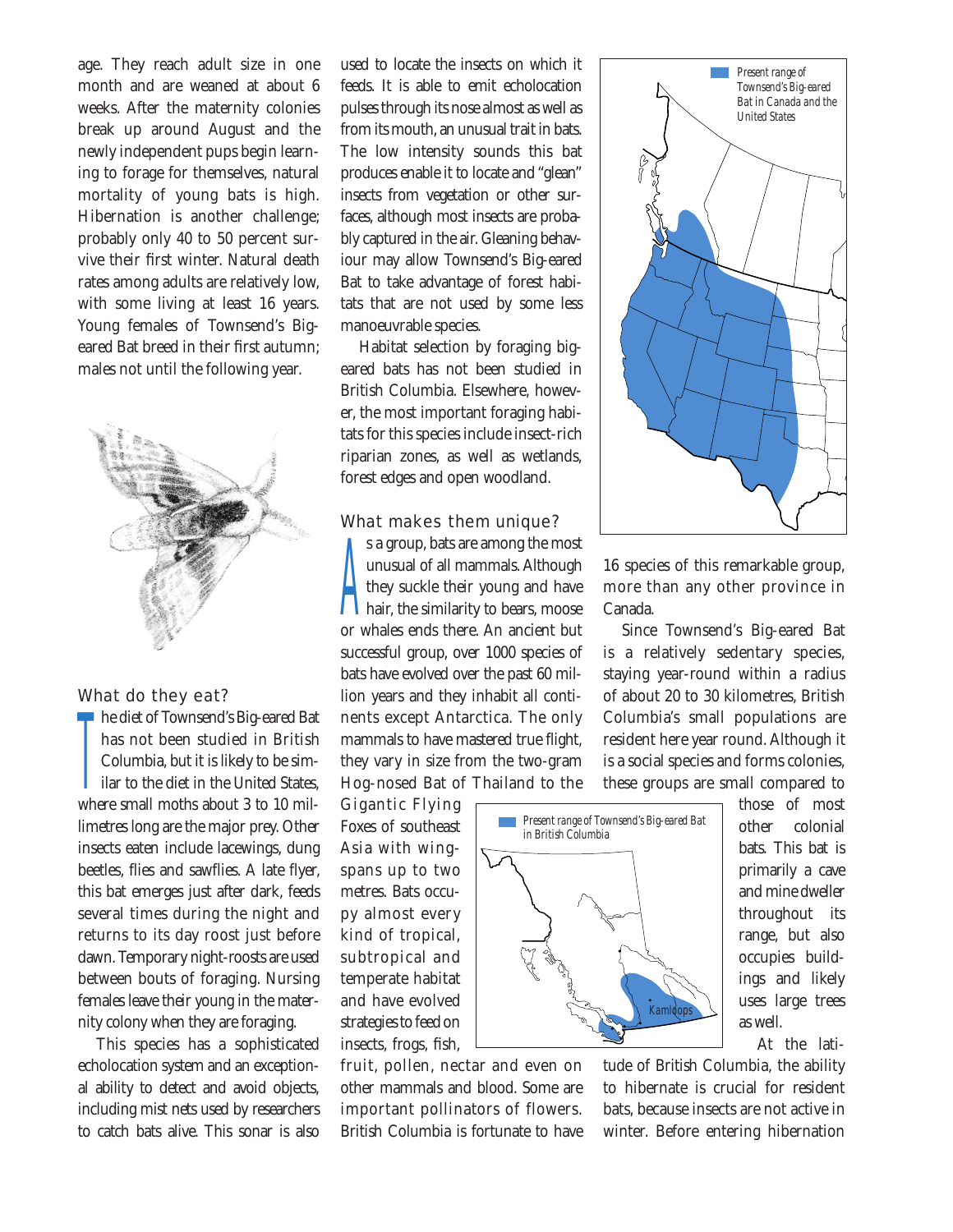age. They reach adult size in one month and are weaned at about 6 weeks. After the maternity colonies break up around August and the newly independent pups begin learning to forage for themselves, natural mortality of young bats is high. Hibernation is another challenge; probably only 40 to 50 percent survive their first winter. Natural death rates among adults are relatively low, with some living at least 16 years. Young females of Townsend's Bigeared Bat breed in their first autumn; males not until the following year.



#### What do they eat?

**T**<br>= he diet of Townsend's Big-eared Bat has not been studied in British Columbia, but it is likely to be similar to the diet in the United States, where small moths about 3 to 10 millimetres long are the major prey. Other insects eaten include lacewings, dung beetles, flies and sawflies. A late flyer, this bat emerges just after dark, feeds several times during the night and returns to its day roost just before dawn. Temporary night-roosts are used between bouts of foraging. Nursing females leave their young in the maternity colony when they are foraging.

This species has a sophisticated echolocation system and an exceptional ability to detect and avoid objects, including mist nets used by researchers to catch bats alive. This sonar is also

used to locate the insects on which it feeds. It is able to emit echolocation pulses through its nose almost as well as from its mouth, an unusual trait in bats. The low intensity sounds this bat produces enable it to locate and "glean" insects from vegetation or other surfaces, although most insects are probably captured in the air. Gleaning behaviour may allow Townsend's Big-eared Bat to take advantage of forest habitats that are not used by some less manoeuvrable species.

Habitat selection by foraging bigeared bats has not been studied in British Columbia. Elsewhere, however, the most important foraging habitats for this species include insect-rich riparian zones, as well as wetlands, forest edges and open woodland.

#### What makes them unique?

 $\sum_{n=1}^{n}$ s a group, bats are among the most unusual of all mammals. Although hey suckle their young and have hair, the similarity to bears, moose or whales ends there. An ancient but successful group, over 1000 species of bats have evolved over the past 60 million years and they inhabit all continents except Antarctica. The only mammals to have mastered true flight, they vary in size from the two-gram Hog-nosed Bat of Thailand to the

Gigantic Flying Foxes of southeast Asia with wingspans up to two metres. Bats occupy almost every kind of tropical, subtropical and temperate habitat and have evolved strategies to feed on insects, frogs, fish,

fruit, pollen, nectar and even on other mammals and blood. Some are important pollinators of flowers. British Columbia is fortunate to have



16 species of this remarkable group, more than any other province in Canada.

Since Townsend's Big-eared Bat is a relatively sedentary species, staying year-round within a radius of about 20 to 30 kilometres, British Columbia's small populations are resident here year round. Although it is a social species and forms colonies, these groups are small compared to



those of most other colonial bats. This bat is primarily a cave and mine dweller throughout its range, but also occupies buildings and likely uses large trees as well.

At the lati-

tude of British Columbia, the ability to hibernate is crucial for resident bats, because insects are not active in winter. Before entering hibernation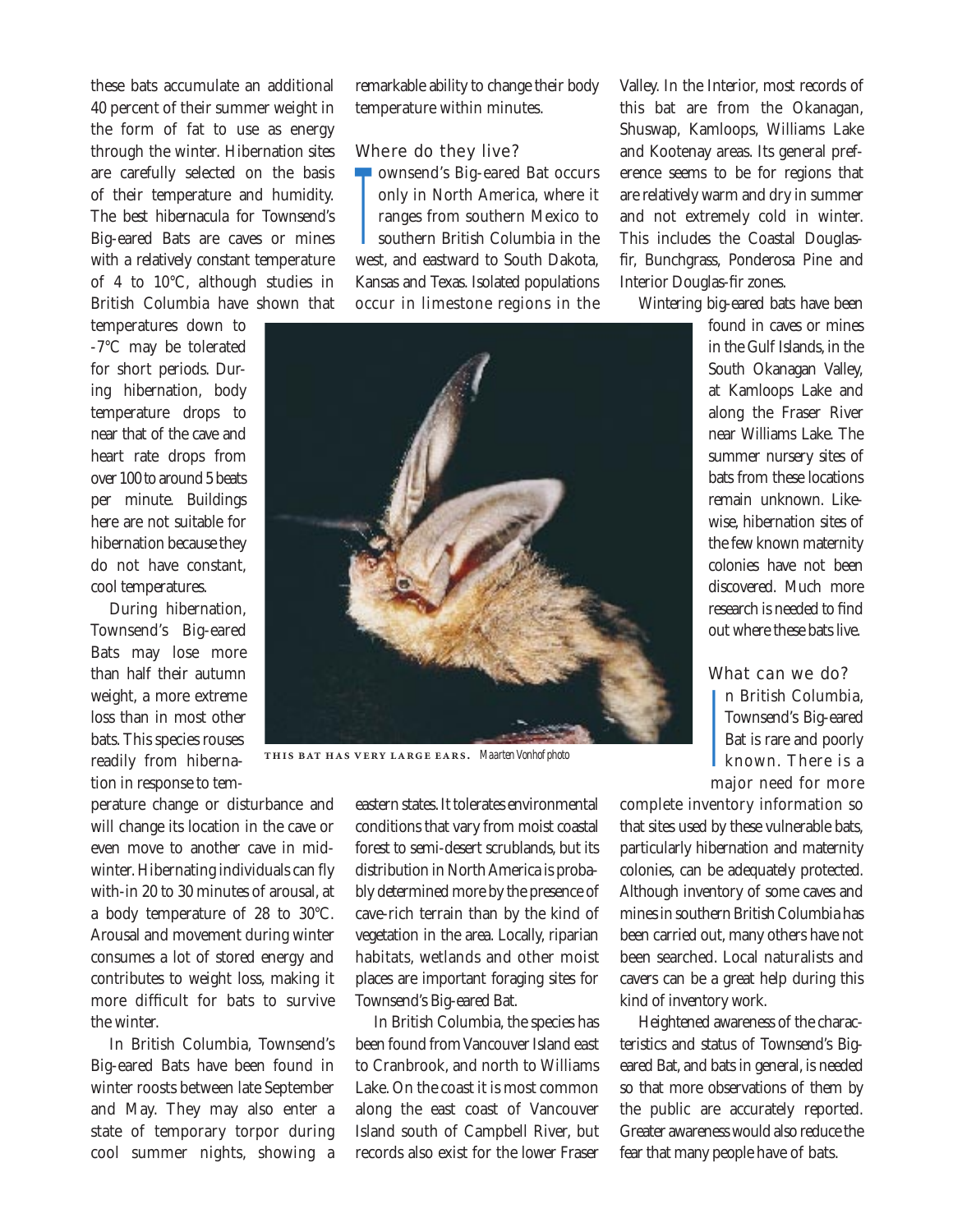these bats accumulate an additional 40 percent of their summer weight in the form of fat to use as energy through the winter. Hibernation sites are carefully selected on the basis of their temperature and humidity. The best hibernacula for Townsend's Big-eared Bats are caves or mines with a relatively constant temperature of 4 to 10°C, although studies in British Columbia have shown that

temperatures down to -7°C may be tolerated for short periods. During hibernation, body temperature drops to near that of the cave and heart rate drops from over 100 to around 5 beats per minute. Buildings here are not suitable for hibernation because they do not have constant, cool temperatures.

During hibernation, Townsend's Big-eared Bats may lose more than half their autumn weight, a more extreme loss than in most other bats. This species rouses readily from hibernation in response to tem-

perature change or disturbance and will change its location in the cave or even move to another cave in midwinter. Hibernating individuals can fly with-in 20 to 30 minutes of arousal, at a body temperature of 28 to 30°C. Arousal and movement during winter consumes a lot of stored energy and contributes to weight loss, making it more difficult for bats to survive the winter.

In British Columbia, Townsend's Big-eared Bats have been found in winter roosts between late September and May. They may also enter a state of temporary torpor during cool summer nights, showing a remarkable ability to change their body temperature within minutes.

## Where do they live?

—<br>—<br>… ownsend's Big-eared Bat occurs only in North America, where it ranges from southern Mexico to southern British Columbia in the west, and eastward to South Dakota, Kansas and Texas. Isolated populations occur in limestone regions in the



**THIS BAT HAS VERY LARGE EARS.** Maarten Vonhof photo

eastern states. It tolerates environmental conditions that vary from moist coastal forest to semi-desert scrublands, but its distribution in North America is probably determined more by the presence of cave-rich terrain than by the kind of vegetation in the area. Locally, riparian habitats, wetlands and other moist places are important foraging sites for Townsend's Big-eared Bat.

In British Columbia, the species has been found from Vancouver Island east to Cranbrook, and north to Williams Lake. On the coast it is most common along the east coast of Vancouver Island south of Campbell River, but records also exist for the lower Fraser

Valley. In the Interior, most records of this bat are from the Okanagan, Shuswap, Kamloops, Williams Lake and Kootenay areas. Its general preference seems to be for regions that are relatively warm and dry in summer and not extremely cold in winter. This includes the Coastal Douglasfir, Bunchgrass, Ponderosa Pine and Interior Douglas-fir zones.

Wintering big-eared bats have been

found in caves or mines in the Gulf Islands, in the South Okanagan Valley, at Kamloops Lake and along the Fraser River near Williams Lake. The summer nursery sites of bats from these locations remain unknown. Likewise, hibernation sites of the few known maternity colonies have not been discovered. Much more research is needed to find out where these bats live.

#### What can we do?

—<br>|<br>| n British Columbia, Townsend's Big-eared Bat is rare and poorly known There is a major need for more

complete inventory information so that sites used by these vulnerable bats, particularly hibernation and maternity colonies, can be adequately protected. Although inventory of some caves and mines in southern British Columbia has been carried out, many others have not been searched. Local naturalists and cavers can be a great help during this kind of inventory work.

Heightened awareness of the characteristics and status of Townsend's Bigeared Bat, and bats in general, is needed so that more observations of them by the public are accurately reported. Greater awareness would also reduce the fear that many people have of bats.